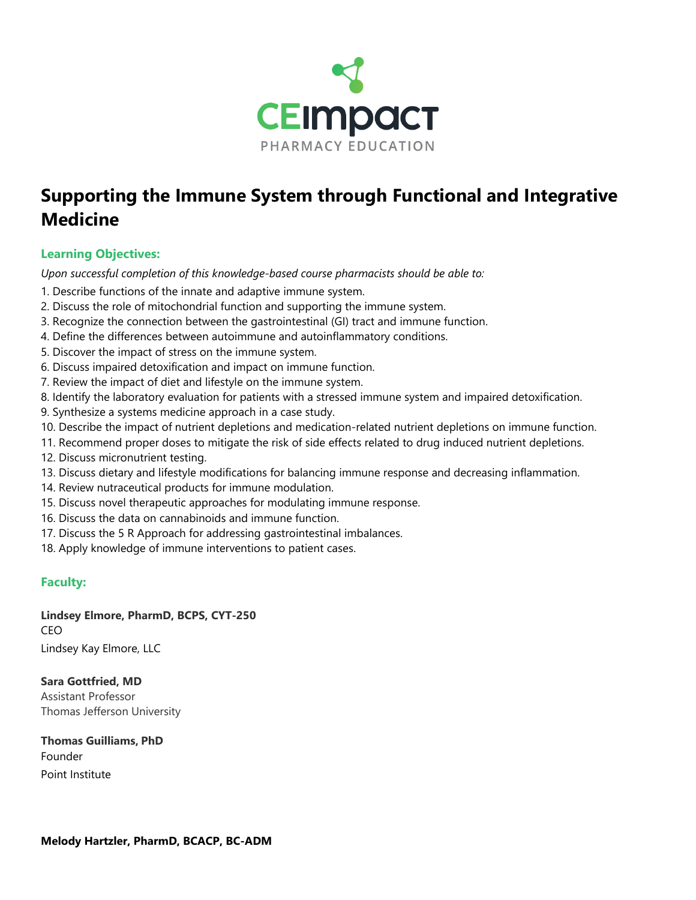

# **Supporting the Immune System through Functional and Integrative Medicine**

# **Learning Objectives:**

*Upon successful completion of this knowledge-based course pharmacists should be able to:*

- 1. Describe functions of the innate and adaptive immune system.
- 2. Discuss the role of mitochondrial function and supporting the immune system.
- 3. Recognize the connection between the gastrointestinal (GI) tract and immune function.
- 4. Define the differences between autoimmune and autoinflammatory conditions.
- 5. Discover the impact of stress on the immune system.
- 6. Discuss impaired detoxification and impact on immune function.
- 7. Review the impact of diet and lifestyle on the immune system.
- 8. Identify the laboratory evaluation for patients with a stressed immune system and impaired detoxification.
- 9. Synthesize a systems medicine approach in a case study.
- 10. Describe the impact of nutrient depletions and medication-related nutrient depletions on immune function.
- 11. Recommend proper doses to mitigate the risk of side effects related to drug induced nutrient depletions.
- 12. Discuss micronutrient testing.
- 13. Discuss dietary and lifestyle modifications for balancing immune response and decreasing inflammation.
- 14. Review nutraceutical products for immune modulation.
- 15. Discuss novel therapeutic approaches for modulating immune response.
- 16. Discuss the data on cannabinoids and immune function.
- 17. Discuss the 5 R Approach for addressing gastrointestinal imbalances.
- 18. Apply knowledge of immune interventions to patient cases.

# **Faculty:**

**Lindsey Elmore, PharmD, BCPS, CYT-250** CEO Lindsey Kay Elmore, LLC

**Sara Gottfried, MD** Assistant Professor Thomas Jefferson University

**Thomas Guilliams, PhD** Founder Point Institute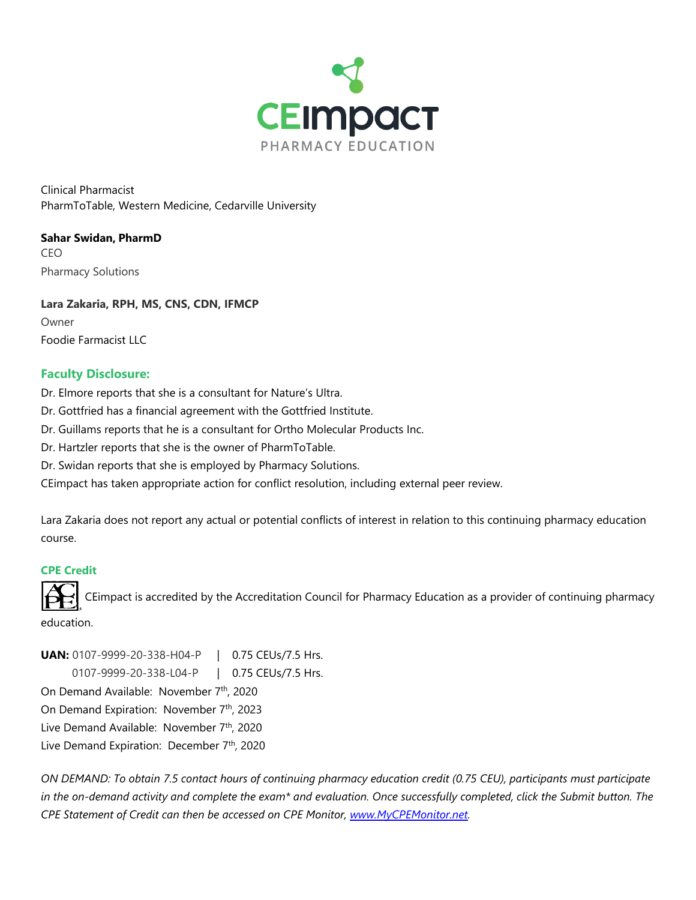

Clinical Pharmacist PharmToTable, Western Medicine, Cedarville University

**Sahar Swidan, PharmD** CEO Pharmacy Solutions

**Lara Zakaria, RPH, MS, CNS, CDN, IFMCP** Owner Foodie Farmacist LLC

## **Faculty Disclosure:**

- Dr. Elmore reports that she is a consultant for Nature's Ultra.
- Dr. Gottfried has a financial agreement with the Gottfried Institute.
- Dr. Guillams reports that he is a consultant for Ortho Molecular Products Inc.
- Dr. Hartzler reports that she is the owner of PharmToTable.
- Dr. Swidan reports that she is employed by Pharmacy Solutions.

CEimpact has taken appropriate action for conflict resolution, including external peer review.

Lara Zakaria does not report any actual or potential conflicts of interest in relation to this continuing pharmacy education course.

#### **CPE Credit**

CEimpact is accredited by the Accreditation Council for Pharmacy Education as a provider of continuing pharmacy

education.

**UAN:** 0107-9999-20-338-H04-P | 0.75 CEUs/7.5 Hrs. 0107-9999-20-338-L04-P | 0.75 CEUs/7.5 Hrs. On Demand Available: November 7th, 2020 On Demand Expiration: November 7th, 2023 Live Demand Available: November 7th, 2020 Live Demand Expiration: December 7th, 2020

*ON DEMAND: To obtain 7.5 contact hours of continuing pharmacy education credit (0.75 CEU), participants must participate in the on-demand activity and complete the exam\* and evaluation. Once successfully completed, click the Submit button. The CPE Statement of Credit can then be accessed on CPE Monitor, [www.MyCPEMonitor.net.](http://www.mycpemonitor.net/)*